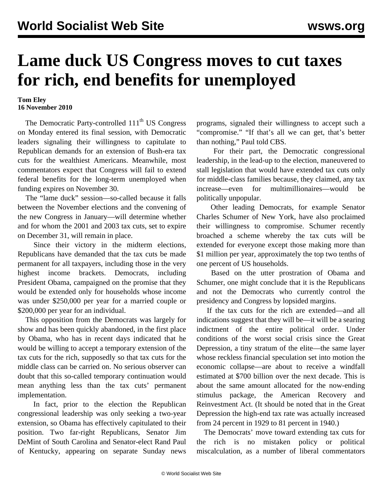## **Lame duck US Congress moves to cut taxes for rich, end benefits for unemployed**

## **Tom Eley 16 November 2010**

The Democratic Party-controlled 111<sup>th</sup> US Congress on Monday entered its final session, with Democratic leaders signaling their willingness to capitulate to Republican demands for an extension of Bush-era tax cuts for the wealthiest Americans. Meanwhile, most commentators expect that Congress will fail to extend federal benefits for the long-term unemployed when funding expires on November 30.

 The "lame duck" session—so-called because it falls between the November elections and the convening of the new Congress in January—will determine whether and for whom the 2001 and 2003 tax cuts, set to expire on December 31, will remain in place.

 Since their victory in the midterm elections, Republicans have demanded that the tax cuts be made permanent for all taxpayers, including those in the very highest income brackets. Democrats, including President Obama, campaigned on the promise that they would be extended only for households whose income was under \$250,000 per year for a married couple or \$200,000 per year for an individual.

 This opposition from the Democrats was largely for show and has been quickly abandoned, in the first place by Obama, who has in recent days indicated that he would be willing to accept a temporary extension of the tax cuts for the rich, supposedly so that tax cuts for the middle class can be carried on. No serious observer can doubt that this so-called temporary continuation would mean anything less than the tax cuts' permanent implementation.

 In fact, prior to the election the Republican congressional leadership was only seeking a two-year extension, so Obama has effectively capitulated to their position. Two far-right Republicans, Senator Jim DeMint of South Carolina and Senator-elect Rand Paul of Kentucky, appearing on separate Sunday news

programs, signaled their willingness to accept such a "compromise." "If that's all we can get, that's better than nothing," Paul told CBS.

 For their part, the Democratic congressional leadership, in the lead-up to the election, maneuvered to stall legislation that would have extended tax cuts only for middle-class families because, they claimed, any tax increase—even for multimillionaires—would be politically unpopular.

 Other leading Democrats, for example Senator Charles Schumer of New York, have also proclaimed their willingness to compromise. Schumer recently broached a scheme whereby the tax cuts will be extended for everyone except those making more than \$1 million per year, approximately the top two tenths of one percent of US households.

 Based on the utter prostration of Obama and Schumer, one might conclude that it is the Republicans and not the Democrats who currently control the presidency and Congress by lopsided margins.

 If the tax cuts for the rich are extended—and all indications suggest that they will be—it will be a searing indictment of the entire political order. Under conditions of the worst social crisis since the Great Depression, a tiny stratum of the elite—the same layer whose reckless financial speculation set into motion the economic collapse—are about to receive a windfall estimated at \$700 billion over the next decade. This is about the same amount allocated for the now-ending stimulus package, the American Recovery and Reinvestment Act. (It should be noted that in the Great Depression the high-end tax rate was actually increased from 24 percent in 1929 to 81 percent in 1940.)

 The Democrats' move toward extending tax cuts for the rich is no mistaken policy or political miscalculation, as a number of liberal commentators